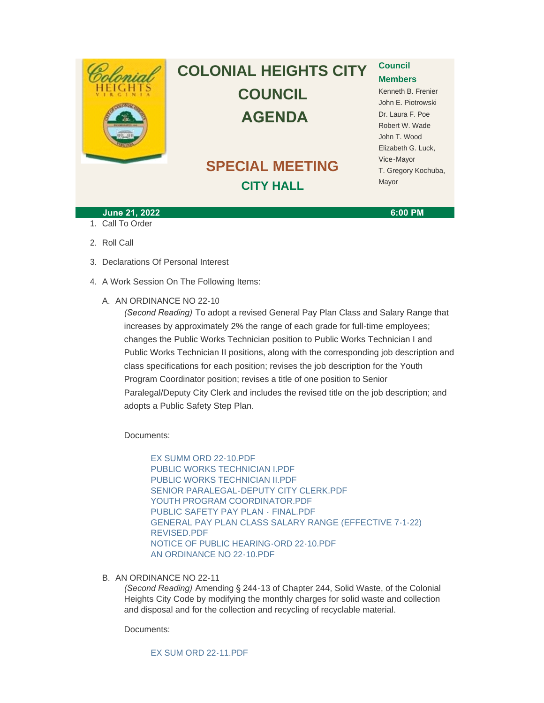

# **COLONIAL HEIGHTS CITY COUNCIL AGENDA**

## **SPECIAL MEETING CITY HALL**

### **Council Members**

Kenneth B. Frenier John E. Piotrowski Dr. Laura F. Poe Robert W. Wade John T. Wood Elizabeth G. Luck, Vice-Mayor T. Gregory Kochuba, Mayor

#### **June 21, 2022 6:00 PM**

1. Call To Order

2. Roll Call

- 3. Declarations Of Personal Interest
- 4. A Work Session On The Following Items:
	- A. AN ORDINANCE NO 22-10

*(Second Reading)* To adopt a revised General Pay Plan Class and Salary Range that increases by approximately 2% the range of each grade for full-time employees; changes the Public Works Technician position to Public Works Technician I and Public Works Technician II positions, along with the corresponding job description and class specifications for each position; revises the job description for the Youth Program Coordinator position; revises a title of one position to Senior Paralegal/Deputy City Clerk and includes the revised title on the job description; and adopts a Public Safety Step Plan.

Documents:

[EX SUMM ORD 22-10.PDF](http://www.colonialheightsva.gov/AgendaCenter/ViewFile/Item/5738?fileID=8650) [PUBLIC WORKS TECHNICIAN I.PDF](http://www.colonialheightsva.gov/AgendaCenter/ViewFile/Item/5738?fileID=8642) [PUBLIC WORKS TECHNICIAN II.PDF](http://www.colonialheightsva.gov/AgendaCenter/ViewFile/Item/5738?fileID=8643) SENIOR PARALEGAL-DEPUTY CITY CLERK PDE [YOUTH PROGRAM COORDINATOR.PDF](http://www.colonialheightsva.gov/AgendaCenter/ViewFile/Item/5738?fileID=8645) [PUBLIC SAFETY PAY PLAN -](http://www.colonialheightsva.gov/AgendaCenter/ViewFile/Item/5738?fileID=8652) FINAL.PDF [GENERAL PAY PLAN CLASS SALARY RANGE \(EFFECTIVE 7-1-22\)](http://www.colonialheightsva.gov/AgendaCenter/ViewFile/Item/5738?fileID=8662)  REVISED.PDF [NOTICE OF PUBLIC HEARING-ORD 22-10.PDF](http://www.colonialheightsva.gov/AgendaCenter/ViewFile/Item/5738?fileID=8641) [AN ORDINANCE NO 22-10.PDF](http://www.colonialheightsva.gov/AgendaCenter/ViewFile/Item/5738?fileID=8640)

B. AN ORDINANCE NO 22-11

*(Second Reading)* Amending § 244-13 of Chapter 244, Solid Waste, of the Colonial Heights City Code by modifying the monthly charges for solid waste and collection and disposal and for the collection and recycling of recyclable material.

Documents:

[EX SUM ORD 22-11.PDF](http://www.colonialheightsva.gov/AgendaCenter/ViewFile/Item/5737?fileID=8646)